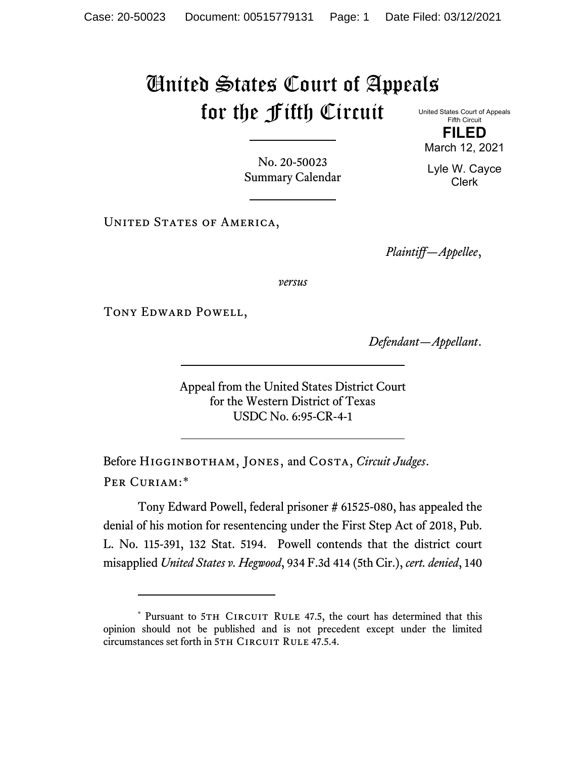## United States Court of Appeals for the Fifth Circuit

United States Court of Appeals Fifth Circuit **FILED**

March 12, 2021

Lyle W. Cayce Clerk

No. 20-50023 Summary Calendar

UNITED STATES OF AMERICA,

*Plaintiff—Appellee*,

*versus*

Tony Edward Powell,

*Defendant—Appellant*.

Appeal from the United States District Court for the Western District of Texas USDC No. 6:95-CR-4-1

Before Higginbotham, Jones, and Costa, *Circuit Judges*. Per Curiam:[\\*](#page-0-0)

Tony Edward Powell, federal prisoner # 61525-080, has appealed the denial of his motion for resentencing under the First Step Act of 2018, Pub. L. No. 115-391, 132 Stat. 5194. Powell contends that the district court misapplied *United States v. Hegwood*, 934 F.3d 414 (5th Cir.), *cert. denied*, 140

<span id="page-0-0"></span><sup>\*</sup> Pursuant to 5TH CIRCUIT RULE 47.5, the court has determined that this opinion should not be published and is not precedent except under the limited circumstances set forth in 5TH CIRCUIT RULE 47.5.4.